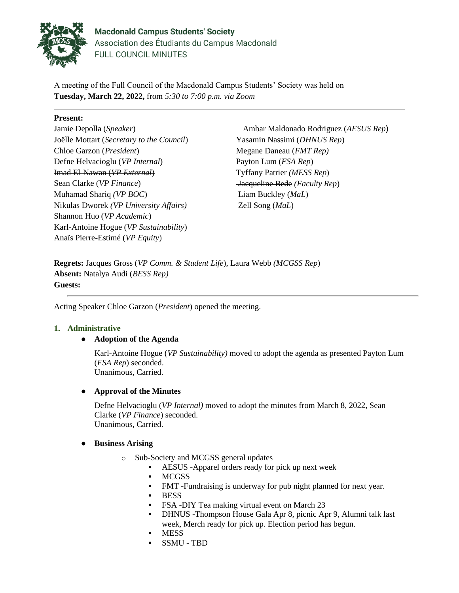

**Macdonald Campus Students' Society** Association des Étudiants du Campus Macdonald FULL COUNCIL MINUTES

A meeting of the Full Council of the Macdonald Campus Students' Society was held on **Tuesday, March 22, 2022,** from *5:30 to 7:00 p.m. via Zoom*

### **Present:**

Jamie Depolla (*Speaker*) Joëlle Mottart (*Secretary to the Council*) Chloe Garzon (*President*) Defne Helvacioglu (*VP Internal*) Imad El-Nawan (*VP External*) Sean Clarke (*VP Finance*) Muhamad Shariq *(VP BOC*) Nikulas Dworek *(VP University Affairs)* Shannon Huo (*VP Academic*) Karl-Antoine Hogue (*VP Sustainability*) Anaïs Pierre-Estimé (*VP Equity*)

Ambar Maldonado Rodriguez (*AESUS Rep*) Yasamin Nassimi (*DHNUS Rep*) Megane Daneau (*FMT Rep)* Payton Lum (*FSA Rep*) Tyffany Patrier *(MESS Rep*) Jacqueline Bede *(Faculty Rep*) Liam Buckley (*MaL*) Zell Song (*MaL*)

**Regrets:** Jacques Gross (*VP Comm. & Student Life*), Laura Webb *(MCGSS Rep*) **Absent:** Natalya Audi (*BESS Rep)* **Guests:** 

Acting Speaker Chloe Garzon (*President*) opened the meeting.

#### **1. Administrative**

# ● **Adoption of the Agenda**

Karl-Antoine Hogue (*VP Sustainability)* moved to adopt the agenda as presented Payton Lum (*FSA Rep*) seconded. Unanimous, Carried.

# ● **Approval of the Minutes**

Defne Helvacioglu (*VP Internal)* moved to adopt the minutes from March 8, 2022, Sean Clarke (*VP Finance*) seconded. Unanimous, Carried.

#### ● **Business Arising**

- o Sub-Society and MCGSS general updates
	- AESUS -Apparel orders ready for pick up next week
	- MCGSS
	- **FMT** -Fundraising is underway for pub night planned for next year.
	- BESS
	- FSA -DIY Tea making virtual event on March 23
	- **DHNUS -Thompson House Gala Apr 8, picnic Apr 9, Alumni talk last** week, Merch ready for pick up. Election period has begun.
	- **MESS**
	- SSMU TBD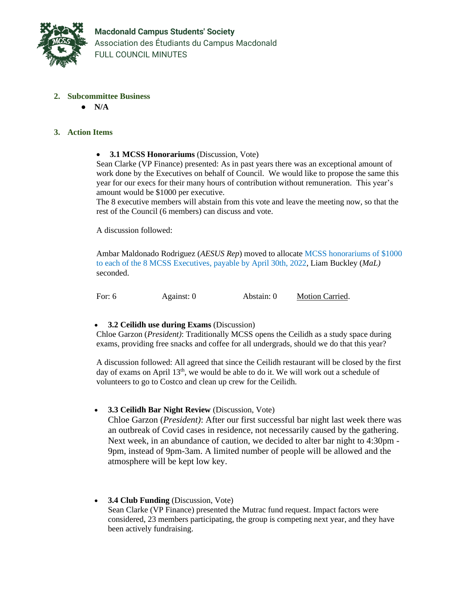

- **2. Subcommittee Business**
	- **N/A**

### **3. Action Items**

• **3.1 MCSS Honorariums** (Discussion, Vote)

Sean Clarke (VP Finance) presented: As in past years there was an exceptional amount of work done by the Executives on behalf of Council. We would like to propose the same this year for our execs for their many hours of contribution without remuneration. This year's amount would be \$1000 per executive.

The 8 executive members will abstain from this vote and leave the meeting now, so that the rest of the Council (6 members) can discuss and vote.

A discussion followed:

Ambar Maldonado Rodriguez (*AESUS Rep*) moved to allocate MCSS honorariums of \$1000 to each of the 8 MCSS Executives, payable by April 30th, 2022, Liam Buckley (*MaL)* seconded.

For: 6 Against: 0 Abstain: 0 Motion Carried.

#### • **3.2 Ceilidh use during Exams** (Discussion)

Chloe Garzon (*President)*: Traditionally MCSS opens the Ceilidh as a study space during exams, providing free snacks and coffee for all undergrads, should we do that this year?

A discussion followed: All agreed that since the Ceilidh restaurant will be closed by the first day of exams on April 13<sup>th</sup>, we would be able to do it. We will work out a schedule of volunteers to go to Costco and clean up crew for the Ceilidh.

#### • **3.3 Ceilidh Bar Night Review** (Discussion, Vote)

Chloe Garzon (*President)*: After our first successful bar night last week there was an outbreak of Covid cases in residence, not necessarily caused by the gathering. Next week, in an abundance of caution, we decided to alter bar night to 4:30pm - 9pm, instead of 9pm-3am. A limited number of people will be allowed and the atmosphere will be kept low key.

• **3.4 Club Funding** (Discussion, Vote) Sean Clarke (VP Finance) presented the Mutrac fund request. Impact factors were considered, 23 members participating, the group is competing next year, and they have been actively fundraising.